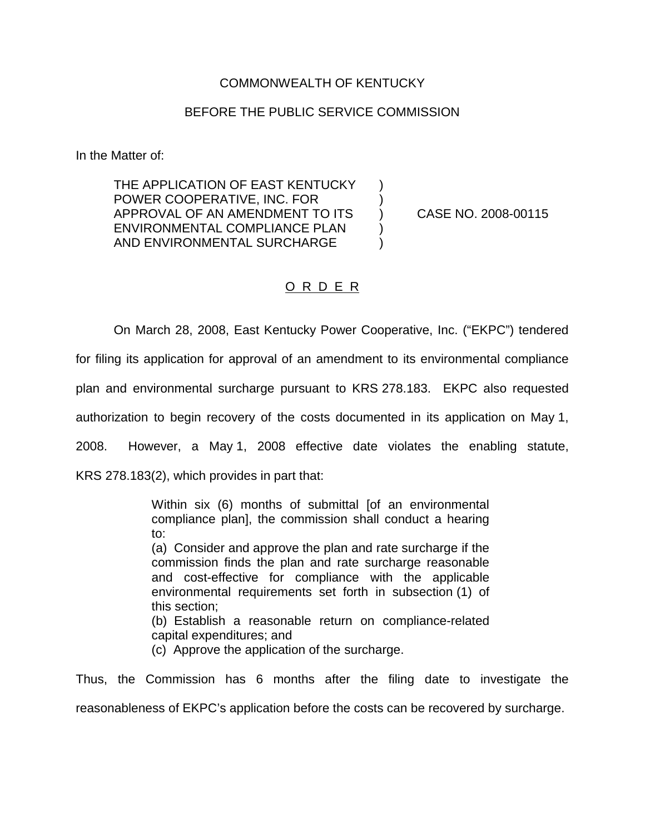## COMMONWEALTH OF KENTUCKY

## BEFORE THE PUBLIC SERVICE COMMISSION

In the Matter of:

THE APPLICATION OF EAST KENTUCKY ) POWER COOPERATIVE, INC. FOR ) APPROVAL OF AN AMENDMENT TO ITS ) CASE NO. 2008-00115 ENVIRONMENTAL COMPLIANCE PLAN (1) AND ENVIRONMENTAL SURCHARGE )

## O R D E R

On March 28, 2008, East Kentucky Power Cooperative, Inc. ("EKPC") tendered

for filing its application for approval of an amendment to its environmental compliance

plan and environmental surcharge pursuant to KRS 278.183. EKPC also requested

authorization to begin recovery of the costs documented in its application on May 1,

2008. However, a May 1, 2008 effective date violates the enabling statute,

KRS 278.183(2), which provides in part that:

Within six (6) months of submittal [of an environmental compliance plan], the commission shall conduct a hearing to:

(a) Consider and approve the plan and rate surcharge if the commission finds the plan and rate surcharge reasonable and cost-effective for compliance with the applicable environmental requirements set forth in subsection (1) of this section;

(b) Establish a reasonable return on compliance-related capital expenditures; and

(c) Approve the application of the surcharge.

Thus, the Commission has 6 months after the filing date to investigate the

reasonableness of EKPC's application before the costs can be recovered by surcharge.